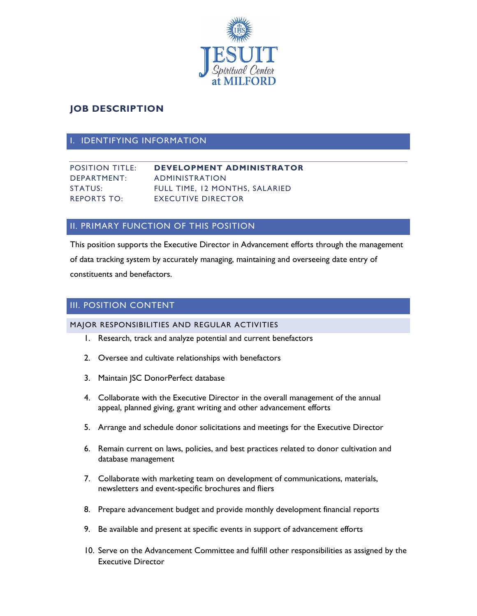

# **JOB DESCRIPTION**

### I. IDENTIFYING INFORMATION

| <b>POSITION TITLE:</b> | <b>DEVELOPMENT ADMINISTRATOR</b> |
|------------------------|----------------------------------|
| DEPARTMENT:            | ADMINISTRATION                   |
| STATUS:                | FULL TIME, 12 MONTHS, SALARIED   |
| <b>REPORTS TO:</b>     | <b>EXECUTIVE DIRECTOR</b>        |

## II. PRIMARY FUNCTION OF THIS POSITION

This position supports the Executive Director in Advancement efforts through the management of data tracking system by accurately managing, maintaining and overseeing date entry of constituents and benefactors.

## III. POSITION CONTENT

#### MAJOR RESPONSIBILITIES AND REGULAR ACTIVITIES

- 1. Research, track and analyze potential and current benefactors
- 2. Oversee and cultivate relationships with benefactors
- 3. Maintain JSC DonorPerfect database
- 4. Collaborate with the Executive Director in the overall management of the annual appeal, planned giving, grant writing and other advancement efforts
- 5. Arrange and schedule donor solicitations and meetings for the Executive Director
- 6. Remain current on laws, policies, and best practices related to donor cultivation and database management
- 7. Collaborate with marketing team on development of communications, materials, newsletters and event-specific brochures and fliers
- 8. Prepare advancement budget and provide monthly development financial reports
- 9. Be available and present at specific events in support of advancement efforts
- 10. Serve on the Advancement Committee and fulfill other responsibilities as assigned by the Executive Director